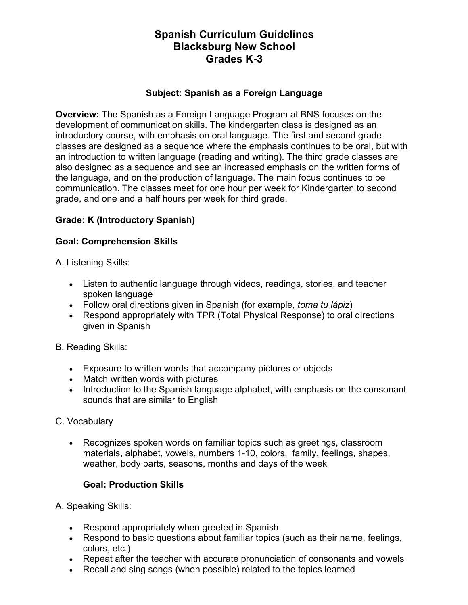# **Spanish Curriculum Guidelines Blacksburg New School Grades K-3**

### **Subject: Spanish as a Foreign Language**

**Overview:** The Spanish as a Foreign Language Program at BNS focuses on the development of communication skills. The kindergarten class is designed as an introductory course, with emphasis on oral language. The first and second grade classes are designed as a sequence where the emphasis continues to be oral, but with an introduction to written language (reading and writing). The third grade classes are also designed as a sequence and see an increased emphasis on the written forms of the language, and on the production of language. The main focus continues to be communication. The classes meet for one hour per week for Kindergarten to second grade, and one and a half hours per week for third grade.

## **Grade: K (Introductory Spanish)**

### **Goal: Comprehension Skills**

A. Listening Skills:

- Listen to authentic language through videos, readings, stories, and teacher spoken language
- Follow oral directions given in Spanish (for example, *toma tu lápiz*)
- Respond appropriately with TPR (Total Physical Response) to oral directions given in Spanish

B. Reading Skills:

- Exposure to written words that accompany pictures or objects
- Match written words with pictures
- Introduction to the Spanish language alphabet, with emphasis on the consonant sounds that are similar to English

## C. Vocabulary

• Recognizes spoken words on familiar topics such as greetings, classroom materials, alphabet, vowels, numbers 1-10, colors, family, feelings, shapes, weather, body parts, seasons, months and days of the week

## **Goal: Production Skills**

A. Speaking Skills:

- Respond appropriately when greeted in Spanish
- Respond to basic questions about familiar topics (such as their name, feelings, colors, etc.)
- Repeat after the teacher with accurate pronunciation of consonants and vowels
- Recall and sing songs (when possible) related to the topics learned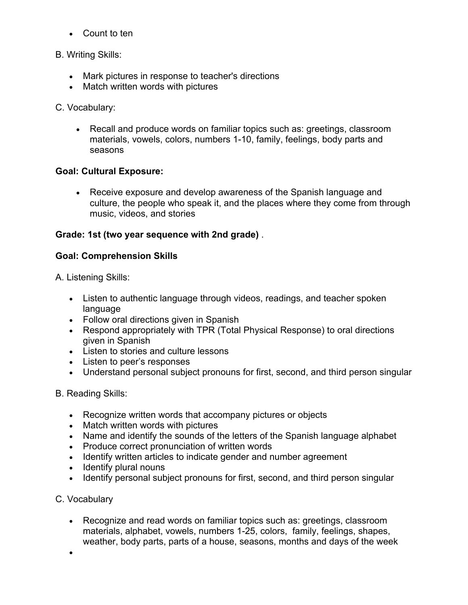• Count to ten

### B. Writing Skills:

- Mark pictures in response to teacher's directions
- Match written words with pictures

## C. Vocabulary:

• Recall and produce words on familiar topics such as: greetings, classroom materials, vowels, colors, numbers 1-10, family, feelings, body parts and seasons

### **Goal: Cultural Exposure:**

• Receive exposure and develop awareness of the Spanish language and culture, the people who speak it, and the places where they come from through music, videos, and stories

### **Grade: 1st (two year sequence with 2nd grade)** .

#### **Goal: Comprehension Skills**

A. Listening Skills:

- Listen to authentic language through videos, readings, and teacher spoken language
- Follow oral directions given in Spanish
- Respond appropriately with TPR (Total Physical Response) to oral directions given in Spanish
- Listen to stories and culture lessons
- Listen to peer's responses
- Understand personal subject pronouns for first, second, and third person singular

#### B. Reading Skills:

- Recognize written words that accompany pictures or objects
- Match written words with pictures
- Name and identify the sounds of the letters of the Spanish language alphabet
- Produce correct pronunciation of written words
- Identify written articles to indicate gender and number agreement
- Identify plural nouns
- Identify personal subject pronouns for first, second, and third person singular

## C. Vocabulary

- Recognize and read words on familiar topics such as: greetings, classroom materials, alphabet, vowels, numbers 1-25, colors, family, feelings, shapes, weather, body parts, parts of a house, seasons, months and days of the week
- •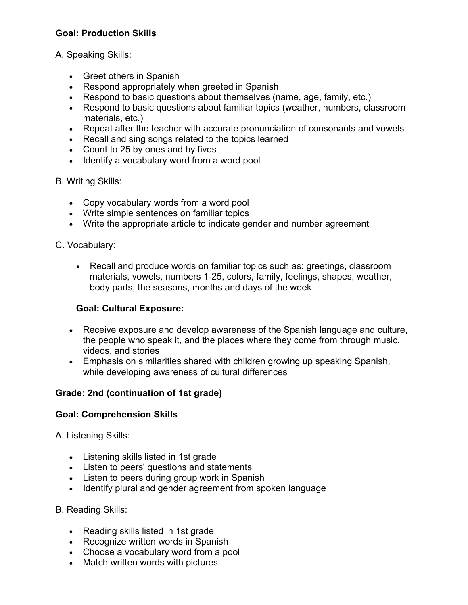## **Goal: Production Skills**

## A. Speaking Skills:

- Greet others in Spanish
- Respond appropriately when greeted in Spanish
- Respond to basic questions about themselves (name, age, family, etc.)
- Respond to basic questions about familiar topics (weather, numbers, classroom materials, etc.)
- Repeat after the teacher with accurate pronunciation of consonants and vowels
- Recall and sing songs related to the topics learned
- Count to 25 by ones and by fives
- Identify a vocabulary word from a word pool

#### B. Writing Skills:

- Copy vocabulary words from a word pool
- Write simple sentences on familiar topics
- Write the appropriate article to indicate gender and number agreement

### C. Vocabulary:

• Recall and produce words on familiar topics such as: greetings, classroom materials, vowels, numbers 1-25, colors, family, feelings, shapes, weather, body parts, the seasons, months and days of the week

#### **Goal: Cultural Exposure:**

- Receive exposure and develop awareness of the Spanish language and culture, the people who speak it, and the places where they come from through music, videos, and stories
- Emphasis on similarities shared with children growing up speaking Spanish, while developing awareness of cultural differences

## **Grade: 2nd (continuation of 1st grade)**

#### **Goal: Comprehension Skills**

A. Listening Skills:

- Listening skills listed in 1st grade
- Listen to peers' questions and statements
- Listen to peers during group work in Spanish
- Identify plural and gender agreement from spoken language

#### B. Reading Skills:

- Reading skills listed in 1st grade
- Recognize written words in Spanish
- Choose a vocabulary word from a pool
- Match written words with pictures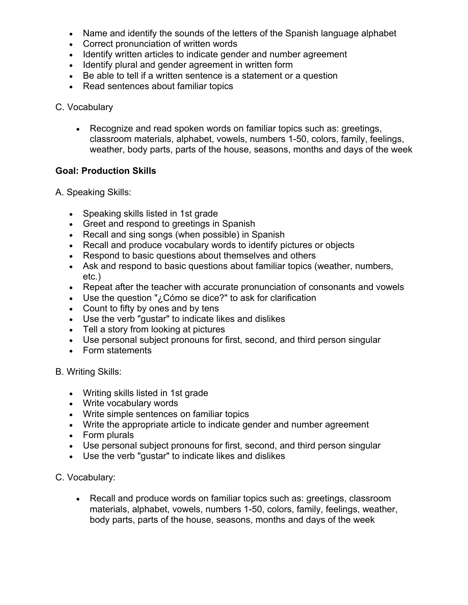- Name and identify the sounds of the letters of the Spanish language alphabet
- Correct pronunciation of written words
- Identify written articles to indicate gender and number agreement
- Identify plural and gender agreement in written form
- Be able to tell if a written sentence is a statement or a question
- Read sentences about familiar topics
- C. Vocabulary
	- Recognize and read spoken words on familiar topics such as: greetings, classroom materials, alphabet, vowels, numbers 1-50, colors, family, feelings, weather, body parts, parts of the house, seasons, months and days of the week

#### **Goal: Production Skills**

A. Speaking Skills:

- Speaking skills listed in 1st grade
- Greet and respond to greetings in Spanish
- Recall and sing songs (when possible) in Spanish
- Recall and produce vocabulary words to identify pictures or objects
- Respond to basic questions about themselves and others
- Ask and respond to basic questions about familiar topics (weather, numbers, etc.)
- Repeat after the teacher with accurate pronunciation of consonants and vowels
- Use the question "¿Cómo se dice?" to ask for clarification
- Count to fifty by ones and by tens
- Use the verb "gustar" to indicate likes and dislikes
- Tell a story from looking at pictures
- Use personal subject pronouns for first, second, and third person singular
- Form statements

B. Writing Skills:

- Writing skills listed in 1st grade
- Write vocabulary words
- Write simple sentences on familiar topics
- Write the appropriate article to indicate gender and number agreement
- Form plurals
- Use personal subject pronouns for first, second, and third person singular
- Use the verb "gustar" to indicate likes and dislikes

C. Vocabulary:

• Recall and produce words on familiar topics such as: greetings, classroom materials, alphabet, vowels, numbers 1-50, colors, family, feelings, weather, body parts, parts of the house, seasons, months and days of the week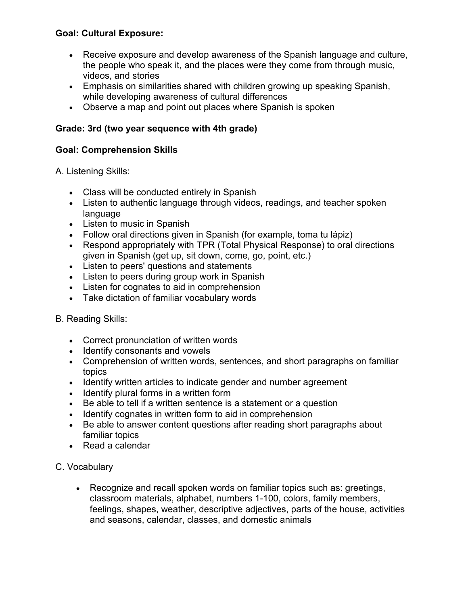## **Goal: Cultural Exposure:**

- Receive exposure and develop awareness of the Spanish language and culture, the people who speak it, and the places were they come from through music, videos, and stories
- Emphasis on similarities shared with children growing up speaking Spanish, while developing awareness of cultural differences
- Observe a map and point out places where Spanish is spoken

## **Grade: 3rd (two year sequence with 4th grade)**

#### **Goal: Comprehension Skills**

A. Listening Skills:

- Class will be conducted entirely in Spanish
- Listen to authentic language through videos, readings, and teacher spoken language
- Listen to music in Spanish
- Follow oral directions given in Spanish (for example, toma tu lápiz)
- Respond appropriately with TPR (Total Physical Response) to oral directions given in Spanish (get up, sit down, come, go, point, etc.)
- Listen to peers' questions and statements
- Listen to peers during group work in Spanish
- Listen for cognates to aid in comprehension
- Take dictation of familiar vocabulary words

#### B. Reading Skills:

- Correct pronunciation of written words
- Identify consonants and vowels
- Comprehension of written words, sentences, and short paragraphs on familiar topics
- Identify written articles to indicate gender and number agreement
- Identify plural forms in a written form
- Be able to tell if a written sentence is a statement or a question
- Identify cognates in written form to aid in comprehension
- Be able to answer content questions after reading short paragraphs about familiar topics
- Read a calendar

#### C. Vocabulary

• Recognize and recall spoken words on familiar topics such as: greetings, classroom materials, alphabet, numbers 1-100, colors, family members, feelings, shapes, weather, descriptive adjectives, parts of the house, activities and seasons, calendar, classes, and domestic animals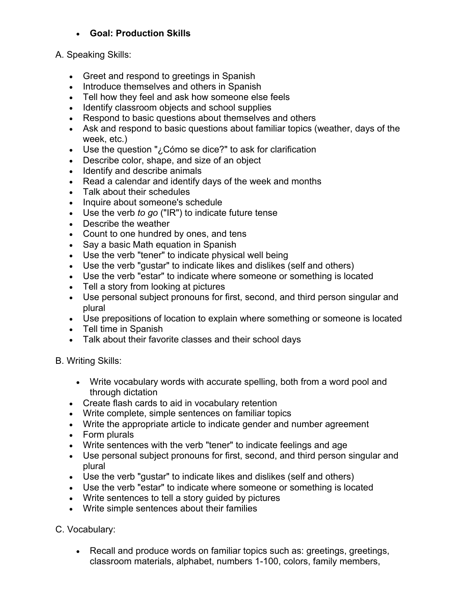## • **Goal: Production Skills**

### A. Speaking Skills:

- Greet and respond to greetings in Spanish
- Introduce themselves and others in Spanish
- Tell how they feel and ask how someone else feels
- Identify classroom objects and school supplies
- Respond to basic questions about themselves and others
- Ask and respond to basic questions about familiar topics (weather, days of the week, etc.)
- Use the question "¿Cómo se dice?" to ask for clarification
- Describe color, shape, and size of an object
- Identify and describe animals
- Read a calendar and identify days of the week and months
- Talk about their schedules
- Inquire about someone's schedule
- Use the verb *to go* ("IR") to indicate future tense
- Describe the weather
- Count to one hundred by ones, and tens
- Say a basic Math equation in Spanish
- Use the verb "tener" to indicate physical well being
- Use the verb "gustar" to indicate likes and dislikes (self and others)
- Use the verb "estar" to indicate where someone or something is located
- Tell a story from looking at pictures
- Use personal subject pronouns for first, second, and third person singular and plural
- Use prepositions of location to explain where something or someone is located
- Tell time in Spanish
- Talk about their favorite classes and their school days
- B. Writing Skills:
	- Write vocabulary words with accurate spelling, both from a word pool and through dictation
	- Create flash cards to aid in vocabulary retention
	- Write complete, simple sentences on familiar topics
	- Write the appropriate article to indicate gender and number agreement
	- Form plurals
	- Write sentences with the verb "tener" to indicate feelings and age
	- Use personal subject pronouns for first, second, and third person singular and plural
	- Use the verb "gustar" to indicate likes and dislikes (self and others)
	- Use the verb "estar" to indicate where someone or something is located
	- Write sentences to tell a story guided by pictures
	- Write simple sentences about their families

## C. Vocabulary:

• Recall and produce words on familiar topics such as: greetings, greetings, classroom materials, alphabet, numbers 1-100, colors, family members,